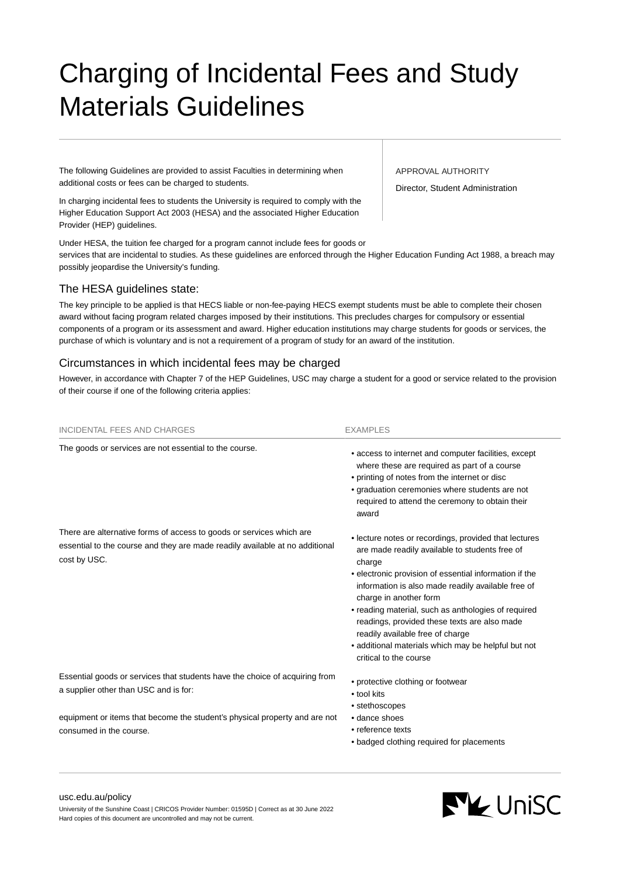# Charging of Incidental Fees and Study Materials Guidelines

The following Guidelines are provided to assist Faculties in determining when additional costs or fees can be charged to students.

In charging incidental fees to students the University is required to comply with the Higher Education Support Act 2003 (HESA) and the associated Higher Education Provider (HEP) guidelines.

Under HESA, the tuition fee charged for a program cannot include fees for goods or services that are incidental to studies. As these guidelines are enforced through the Higher Education Funding Act 1988, a breach may possibly jeopardise the University's funding.

# The HESA guidelines state:

The key principle to be applied is that HECS liable or non-fee-paying HECS exempt students must be able to complete their chosen award without facing program related charges imposed by their institutions. This precludes charges for compulsory or essential components of a program or its assessment and award. Higher education institutions may charge students for goods or services, the purchase of which is voluntary and is not a requirement of a program of study for an award of the institution.

# Circumstances in which incidental fees may be charged

However, in accordance with Chapter 7 of the HEP Guidelines, USC may charge a student for a good or service related to the provision of their course if one of the following criteria applies:

| <b>INCIDENTAL FEES AND CHARGES</b>                                                                                                                                   | <b>EXAMPLES</b>                                                                                                                                                                                                                                                                                                                                                                                                                                                                         |
|----------------------------------------------------------------------------------------------------------------------------------------------------------------------|-----------------------------------------------------------------------------------------------------------------------------------------------------------------------------------------------------------------------------------------------------------------------------------------------------------------------------------------------------------------------------------------------------------------------------------------------------------------------------------------|
| The goods or services are not essential to the course.                                                                                                               | • access to internet and computer facilities, except<br>where these are required as part of a course<br>• printing of notes from the internet or disc<br>• graduation ceremonies where students are not<br>required to attend the ceremony to obtain their<br>award                                                                                                                                                                                                                     |
| There are alternative forms of access to goods or services which are<br>essential to the course and they are made readily available at no additional<br>cost by USC. | • lecture notes or recordings, provided that lectures<br>are made readily available to students free of<br>charge<br>• electronic provision of essential information if the<br>information is also made readily available free of<br>charge in another form<br>• reading material, such as anthologies of required<br>readings, provided these texts are also made<br>readily available free of charge<br>• additional materials which may be helpful but not<br>critical to the course |
| Essential goods or services that students have the choice of acquiring from<br>a supplier other than USC and is for:                                                 | • protective clothing or footwear<br>• tool kits<br>• stethoscopes                                                                                                                                                                                                                                                                                                                                                                                                                      |
| equipment or items that become the student's physical property and are not<br>consumed in the course.                                                                | • dance shoes<br>• reference texts<br>• badged clothing required for placements                                                                                                                                                                                                                                                                                                                                                                                                         |
|                                                                                                                                                                      |                                                                                                                                                                                                                                                                                                                                                                                                                                                                                         |

[usc.edu.au/policy](https://www.usc.edu.au/policy) University of the Sunshine Coast | CRICOS Provider Number: 01595D | Correct as at 30 June 2022 Hard copies of this document are uncontrolled and may not be current.

#### APPROVAL AUTHORITY

Director, Student Administration